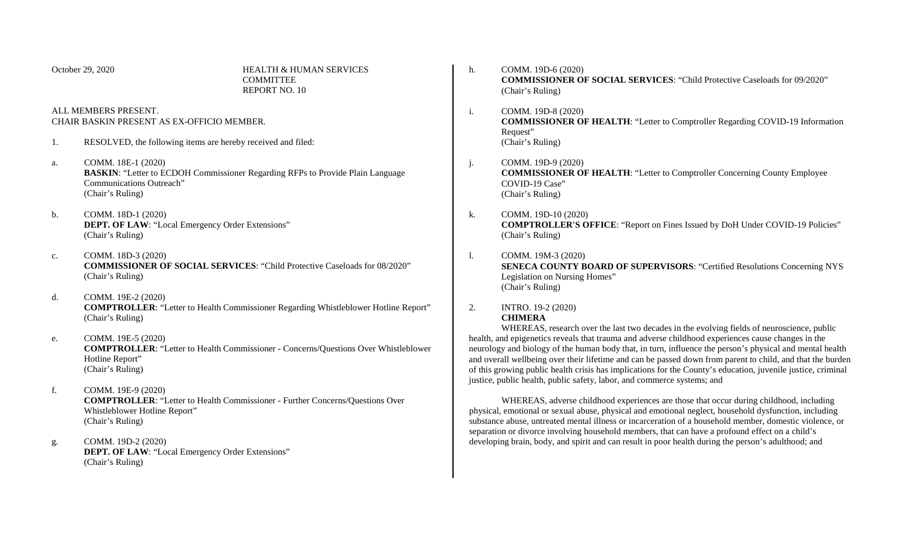| October 29, 2020                                                   |                                                                                                                                                                 | <b>HEALTH &amp; HUMAN SERVICES</b><br><b>COMMITTEE</b><br><b>REPORT NO. 10</b>        | h.    | COMM. 19D-6 (2020)<br><b>COMMISSIONER OF SOCIAL SERVICES: "Child Protective Caseloads for 09/2020"</b><br>(Chair's Ruling)                                                                                                                                                                                                                                                                                                                                                                                                                                                                                                                                                                                                                                                                                                                                                                                                                                                                                                                                                      |  |
|--------------------------------------------------------------------|-----------------------------------------------------------------------------------------------------------------------------------------------------------------|---------------------------------------------------------------------------------------|-------|---------------------------------------------------------------------------------------------------------------------------------------------------------------------------------------------------------------------------------------------------------------------------------------------------------------------------------------------------------------------------------------------------------------------------------------------------------------------------------------------------------------------------------------------------------------------------------------------------------------------------------------------------------------------------------------------------------------------------------------------------------------------------------------------------------------------------------------------------------------------------------------------------------------------------------------------------------------------------------------------------------------------------------------------------------------------------------|--|
| ALL MEMBERS PRESENT.<br>CHAIR BASKIN PRESENT AS EX-OFFICIO MEMBER. |                                                                                                                                                                 |                                                                                       | i.    | COMM. 19D-8 (2020)<br><b>COMMISSIONER OF HEALTH: "Letter to Comptroller Regarding COVID-19 Information</b><br>Request"                                                                                                                                                                                                                                                                                                                                                                                                                                                                                                                                                                                                                                                                                                                                                                                                                                                                                                                                                          |  |
| 1.                                                                 | RESOLVED, the following items are hereby received and filed:                                                                                                    |                                                                                       |       | (Chair's Ruling)                                                                                                                                                                                                                                                                                                                                                                                                                                                                                                                                                                                                                                                                                                                                                                                                                                                                                                                                                                                                                                                                |  |
| a.                                                                 | COMM. 18E-1 (2020)<br>Communications Outreach"<br>(Chair's Ruling)                                                                                              | <b>BASKIN:</b> "Letter to ECDOH Commissioner Regarding RFPs to Provide Plain Language | $j$ . | COMM. 19D-9 (2020)<br><b>COMMISSIONER OF HEALTH: "Letter to Comptroller Concerning County Employee</b><br>COVID-19 Case"<br>(Chair's Ruling)                                                                                                                                                                                                                                                                                                                                                                                                                                                                                                                                                                                                                                                                                                                                                                                                                                                                                                                                    |  |
| b.                                                                 | COMM. 18D-1 (2020)<br>DEPT. OF LAW: "Local Emergency Order Extensions"<br>(Chair's Ruling)                                                                      |                                                                                       | k.    | COMM. 19D-10 (2020)<br><b>COMPTROLLER'S OFFICE: "Report on Fines Issued by DoH Under COVID-19 Policies"</b><br>(Chair's Ruling)                                                                                                                                                                                                                                                                                                                                                                                                                                                                                                                                                                                                                                                                                                                                                                                                                                                                                                                                                 |  |
| c.                                                                 | COMM. 18D-3 (2020)<br>(Chair's Ruling)                                                                                                                          | <b>COMMISSIONER OF SOCIAL SERVICES: "Child Protective Caseloads for 08/2020"</b>      | 1.    | COMM. 19M-3 (2020)<br><b>SENECA COUNTY BOARD OF SUPERVISORS: "Certified Resolutions Concerning NYS</b><br>Legislation on Nursing Homes"<br>(Chair's Ruling)                                                                                                                                                                                                                                                                                                                                                                                                                                                                                                                                                                                                                                                                                                                                                                                                                                                                                                                     |  |
| d.                                                                 | COMM. 19E-2 (2020)<br><b>COMPTROLLER:</b> "Letter to Health Commissioner Regarding Whistleblower Hotline Report"<br>(Chair's Ruling)                            |                                                                                       | 2.    | INTRO. 19-2 (2020)<br><b>CHIMERA</b><br>WHEREAS, research over the last two decades in the evolving fields of neuroscience, public<br>health, and epigenetics reveals that trauma and adverse childhood experiences cause changes in the<br>neurology and biology of the human body that, in turn, influence the person's physical and mental health<br>and overall wellbeing over their lifetime and can be passed down from parent to child, and that the burden<br>of this growing public health crisis has implications for the County's education, juvenile justice, criminal<br>justice, public health, public safety, labor, and commerce systems; and<br>WHEREAS, adverse childhood experiences are those that occur during childhood, including<br>physical, emotional or sexual abuse, physical and emotional neglect, household dysfunction, including<br>substance abuse, untreated mental illness or incarceration of a household member, domestic violence, or<br>separation or divorce involving household members, that can have a profound effect on a child's |  |
| e.                                                                 | COMM. 19E-5 (2020)<br><b>COMPTROLLER:</b> "Letter to Health Commissioner - Concerns/Questions Over Whistleblower<br>Hotline Report"<br>(Chair's Ruling)         |                                                                                       |       |                                                                                                                                                                                                                                                                                                                                                                                                                                                                                                                                                                                                                                                                                                                                                                                                                                                                                                                                                                                                                                                                                 |  |
| f.                                                                 | COMM. 19E-9 (2020)<br><b>COMPTROLLER: "Letter to Health Commissioner - Further Concerns/Questions Over</b><br>Whistleblower Hotline Report"<br>(Chair's Ruling) |                                                                                       |       |                                                                                                                                                                                                                                                                                                                                                                                                                                                                                                                                                                                                                                                                                                                                                                                                                                                                                                                                                                                                                                                                                 |  |

developing brain, body, and spirit and can result in poor health during the person's adulthood; and

g. COMM. 19D-2 (2020) **DEPT. OF LAW**: "Local Emergency Order Extensions" (Chair's Ruling)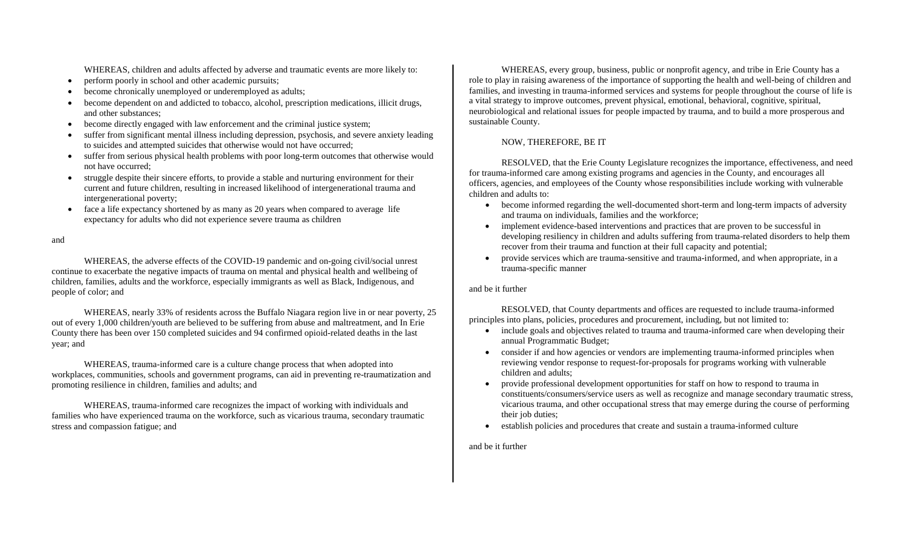WHEREAS, children and adults affected by adverse and traumatic events are more likely to:

- perform poorly in school and other academic pursuits;
- become chronically unemployed or underemployed as adults;
- become dependent on and addicted to tobacco, alcohol, prescription medications, illicit drugs, and other substances;
- become directly engaged with law enforcement and the criminal justice system;
- suffer from significant mental illness including depression, psychosis, and severe anxiety leading to suicides and attempted suicides that otherwise would not have occurred;
- suffer from serious physical health problems with poor long-term outcomes that otherwise would not have occurred;
- struggle despite their sincere efforts, to provide a stable and nurturing environment for their current and future children, resulting in increased likelihood of intergenerational trauma and intergenerational poverty;
- face a life expectancy shortened by as many as 20 years when compared to average life expectancy for adults who did not experience severe trauma as children

### and

WHEREAS, the adverse effects of the COVID-19 pandemic and on-going civil/social unrest continue to exacerbate the negative impacts of trauma on mental and physical health and wellbeing of children, families, adults and the workforce, especially immigrants as well as Black, Indigenous, and people of color; and

WHEREAS, nearly 33% of residents across the Buffalo Niagara region live in or near poverty, 25 out of every 1,000 children/youth are believed to be suffering from abuse and maltreatment, and In Erie County there has been over 150 completed suicides and 94 confirmed opioid-related deaths in the last year; and

WHEREAS, trauma-informed care is a culture change process that when adopted into workplaces, communities, schools and government programs, can aid in preventing re-traumatization and promoting resilience in children, families and adults; and

WHEREAS, trauma-informed care recognizes the impact of working with individuals and families who have experienced trauma on the workforce, such as vicarious trauma, secondary traumatic stress and compassion fatigue; and

WHEREAS, every group, business, public or nonprofit agency, and tribe in Erie County has a role to play in raising awareness of the importance of supporting the health and well-being of children and families, and investing in trauma-informed services and systems for people throughout the course of life is a vital strategy to improve outcomes, prevent physical, emotional, behavioral, cognitive, spiritual, neurobiological and relational issues for people impacted by trauma, and to build a more prosperous and sustainable County.

# NOW, THEREFORE, BE IT

RESOLVED, that the Erie County Legislature recognizes the importance, effectiveness, and need for trauma-informed care among existing programs and agencies in the County, and encourages all officers, agencies, and employees of the County whose responsibilities include working with vulnerable children and adults to:

- become informed regarding the well-documented short-term and long-term impacts of adversity and trauma on individuals, families and the workforce;
- implement evidence-based interventions and practices that are proven to be successful in developing resiliency in children and adults suffering from trauma-related disorders to help them recover from their trauma and function at their full capacity and potential;
- provide services which are trauma-sensitive and trauma-informed, and when appropriate, in a trauma-specific manner

## and be it further

RESOLVED, that County departments and offices are requested to include trauma-informed principles into plans, policies, procedures and procurement, including, but not limited to:

- include goals and objectives related to trauma and trauma-informed care when developing their annual Programmatic Budget;
- consider if and how agencies or vendors are implementing trauma-informed principles when reviewing vendor response to request-for-proposals for programs working with vulnerable children and adults;
- provide professional development opportunities for staff on how to respond to trauma in constituents/consumers/service users as well as recognize and manage secondary traumatic stress, vicarious trauma, and other occupational stress that may emerge during the course of performing their job duties;
- establish policies and procedures that create and sustain a trauma-informed culture

and be it further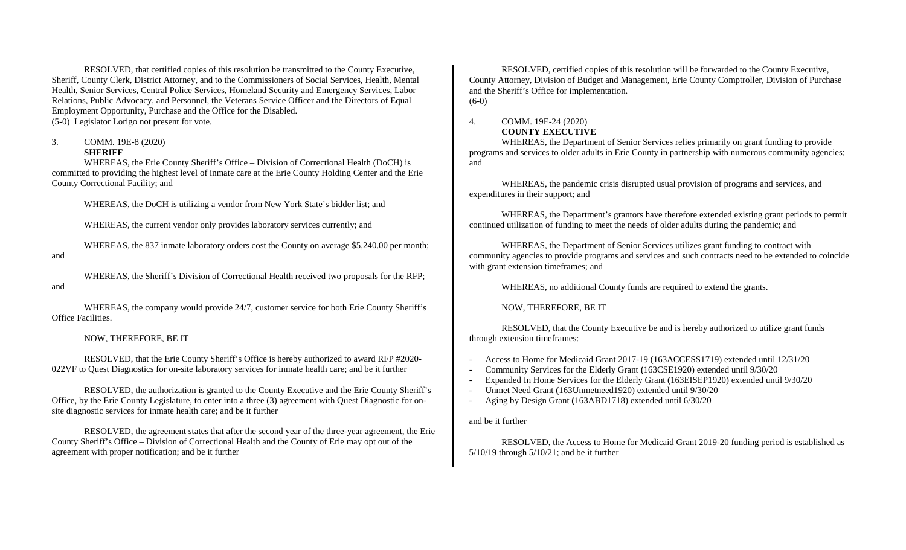RESOLVED, that certified copies of this resolution be transmitted to the County Executive, Sheriff, County Clerk, District Attorney, and to the Commissioners of Social Services, Health, Mental Health, Senior Services, Central Police Services, Homeland Security and Emergency Services, Labor Relations, Public Advocacy, and Personnel, the Veterans Service Officer and the Directors of Equal Employment Opportunity, Purchase and the Office for the Disabled. (5-0) Legislator Lorigo not present for vote.

#### 3. COMM. 19E-8 (2020) **SHERIFF**

WHEREAS, the Erie County Sheriff's Office – Division of Correctional Health (DoCH) is committed to providing the highest level of inmate care at the Erie County Holding Center and the Erie County Correctional Facility; and

WHEREAS, the DoCH is utilizing a vendor from New York State's bidder list; and

WHEREAS, the current vendor only provides laboratory services currently; and

WHEREAS, the 837 inmate laboratory orders cost the County on average \$5,240.00 per month; and

WHEREAS, the Sheriff's Division of Correctional Health received two proposals for the RFP; and

WHEREAS, the company would provide 24/7, customer service for both Erie County Sheriff's Office Facilities.

## NOW, THEREFORE, BE IT

RESOLVED, that the Erie County Sheriff's Office is hereby authorized to award RFP #2020- 022VF to Quest Diagnostics for on-site laboratory services for inmate health care; and be it further

RESOLVED, the authorization is granted to the County Executive and the Erie County Sheriff's Office, by the Erie County Legislature, to enter into a three (3) agreement with Quest Diagnostic for onsite diagnostic services for inmate health care; and be it further

RESOLVED, the agreement states that after the second year of the three-year agreement, the Erie County Sheriff's Office – Division of Correctional Health and the County of Erie may opt out of the agreement with proper notification; and be it further

RESOLVED, certified copies of this resolution will be forwarded to the County Executive, County Attorney, Division of Budget and Management, Erie County Comptroller, Division of Purchase and the Sheriff's Office for implementation. (6-0)

## 4. COMM. 19E-24 (2020) **COUNTY EXECUTIVE**

WHEREAS, the Department of Senior Services relies primarily on grant funding to provide programs and services to older adults in Erie County in partnership with numerous community agencies; and

WHEREAS, the pandemic crisis disrupted usual provision of programs and services, and expenditures in their support; and

WHEREAS, the Department's grantors have therefore extended existing grant periods to permit continued utilization of funding to meet the needs of older adults during the pandemic; and

WHEREAS, the Department of Senior Services utilizes grant funding to contract with community agencies to provide programs and services and such contracts need to be extended to coincide with grant extension timeframes; and

WHEREAS, no additional County funds are required to extend the grants.

NOW, THEREFORE, BE IT

RESOLVED, that the County Executive be and is hereby authorized to utilize grant funds through extension timeframes:

- Access to Home for Medicaid Grant 2017-19 (163ACCESS1719) extended until 12/31/20
- Community Services for the Elderly Grant **(**163CSE1920) extended until 9/30/20
- Expanded In Home Services for the Elderly Grant **(**163EISEP1920) extended until 9/30/20
- Unmet Need Grant **(**163Unmetneed1920) extended until 9/30/20
- Aging by Design Grant **(**163ABD1718) extended until 6/30/20

## and be it further

RESOLVED, the Access to Home for Medicaid Grant 2019-20 funding period is established as 5/10/19 through 5/10/21; and be it further